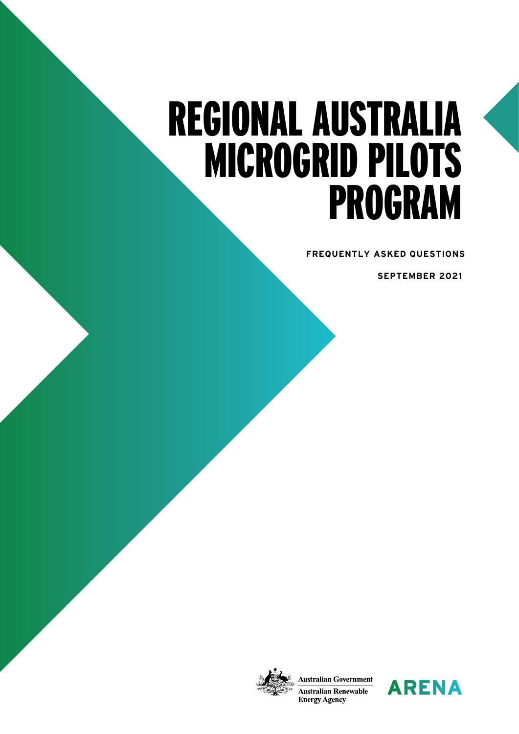# REGIONAL AUSTRALIA MICROGRID PILOTS PROGRAM

**FREQUENTLY ASKED QUESTIONS**

 **SEPTEMBER 2021** 



**Australian Government Australian Renewable Energy Agency** 

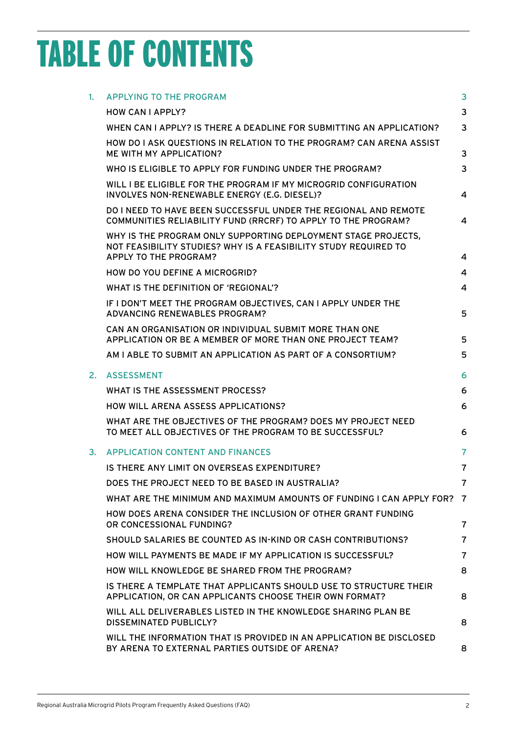## TABLE OF CONTENTS

| 1. | <b>APPLYING TO THE PROGRAM</b>                                                                                                                                   | 3              |
|----|------------------------------------------------------------------------------------------------------------------------------------------------------------------|----------------|
|    | <b>HOW CAN I APPLY?</b>                                                                                                                                          | 3              |
|    | WHEN CAN I APPLY? IS THERE A DEADLINE FOR SUBMITTING AN APPLICATION?                                                                                             | 3              |
|    | HOW DO I ASK QUESTIONS IN RELATION TO THE PROGRAM? CAN ARENA ASSIST<br><b>ME WITH MY APPLICATION?</b>                                                            | 3              |
|    | WHO IS ELIGIBLE TO APPLY FOR FUNDING UNDER THE PROGRAM?                                                                                                          | 3              |
|    | WILL I BE ELIGIBLE FOR THE PROGRAM IF MY MICROGRID CONFIGURATION<br>INVOLVES NON-RENEWABLE ENERGY (E.G. DIESEL)?                                                 | 4              |
|    | DO I NEED TO HAVE BEEN SUCCESSFUL UNDER THE REGIONAL AND REMOTE<br>COMMUNITIES RELIABILITY FUND (RRCRF) TO APPLY TO THE PROGRAM?                                 | 4              |
|    | WHY IS THE PROGRAM ONLY SUPPORTING DEPLOYMENT STAGE PROJECTS,<br>NOT FEASIBILITY STUDIES? WHY IS A FEASIBILITY STUDY REQUIRED TO<br><b>APPLY TO THE PROGRAM?</b> | 4              |
|    | HOW DO YOU DEFINE A MICROGRID?                                                                                                                                   | $\overline{4}$ |
|    | WHAT IS THE DEFINITION OF 'REGIONAL'?                                                                                                                            | $\overline{4}$ |
|    | IF I DON'T MEET THE PROGRAM OBJECTIVES, CAN I APPLY UNDER THE<br><b>ADVANCING RENEWABLES PROGRAM?</b>                                                            | 5              |
|    | CAN AN ORGANISATION OR INDIVIDUAL SUBMIT MORE THAN ONE<br>APPLICATION OR BE A MEMBER OF MORE THAN ONE PROJECT TEAM?                                              | 5              |
|    | AM I ABLE TO SUBMIT AN APPLICATION AS PART OF A CONSORTIUM?                                                                                                      | 5              |
| 2. | <b>ASSESSMENT</b>                                                                                                                                                | 6              |
|    | WHAT IS THE ASSESSMENT PROCESS?                                                                                                                                  | 6              |
|    | <b>HOW WILL ARENA ASSESS APPLICATIONS?</b>                                                                                                                       | 6              |
|    | WHAT ARE THE OBJECTIVES OF THE PROGRAM? DOES MY PROJECT NEED<br>TO MEET ALL OBJECTIVES OF THE PROGRAM TO BE SUCCESSFUL?                                          | 6              |
|    | 3. APPLICATION CONTENT AND FINANCES                                                                                                                              | 7              |
|    | IS THERE ANY LIMIT ON OVERSEAS EXPENDITURE?                                                                                                                      | 7              |
|    | DOES THE PROJECT NEED TO BE BASED IN AUSTRALIA?                                                                                                                  | 7              |
|    | WHAT ARE THE MINIMUM AND MAXIMUM AMOUNTS OF FUNDING I CAN APPLY FOR? 7                                                                                           |                |
|    | HOW DOES ARENA CONSIDER THE INCLUSION OF OTHER GRANT FUNDING<br>OR CONCESSIONAL FUNDING?                                                                         | $\overline{7}$ |
|    | SHOULD SALARIES BE COUNTED AS IN-KIND OR CASH CONTRIBUTIONS?                                                                                                     | $\overline{7}$ |
|    | HOW WILL PAYMENTS BE MADE IF MY APPLICATION IS SUCCESSFUL?                                                                                                       | $\overline{7}$ |
|    | HOW WILL KNOWLEDGE BE SHARED FROM THE PROGRAM?                                                                                                                   | 8              |
|    | IS THERE A TEMPLATE THAT APPLICANTS SHOULD USE TO STRUCTURE THEIR<br>APPLICATION, OR CAN APPLICANTS CHOOSE THEIR OWN FORMAT?                                     | 8              |
|    | WILL ALL DELIVERABLES LISTED IN THE KNOWLEDGE SHARING PLAN BE<br>DISSEMINATED PUBLICLY?                                                                          | 8              |
|    | WILL THE INFORMATION THAT IS PROVIDED IN AN APPLICATION BE DISCLOSED<br>BY ARENA TO EXTERNAL PARTIES OUTSIDE OF ARENA?                                           | 8              |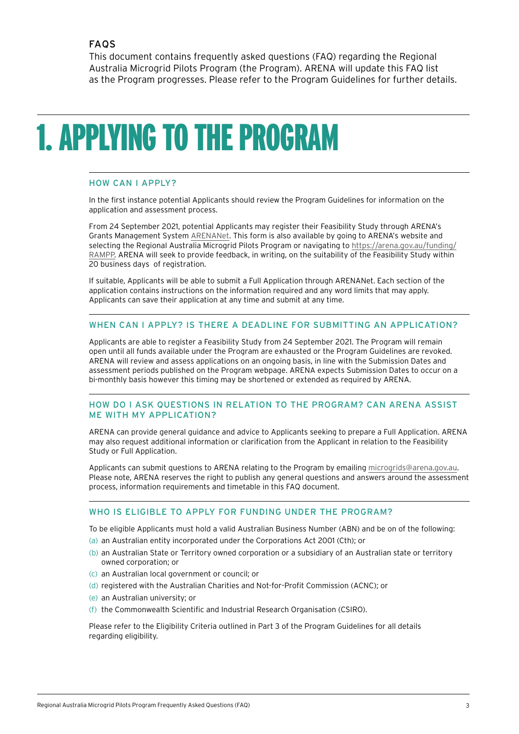<span id="page-2-0"></span>This document contains frequently asked questions (FAQ) regarding the Regional Australia Microgrid Pilots Program (the Program). ARENA will update this FAQ list as the Program progresses. Please refer to the Program Guidelines for further details.

### 1.APPLYING TO THE PROGRAM

#### HOW CAN I APPLY?

In the first instance potential Applicants should review the Program Guidelines for information on the application and assessment process.

From 24 September 2021, potential Applicants may register their Feasibility Study through ARENA's Grants Management System [ARENANet.](https://arenaomnistar.f1solutions.com.au/) This form is also available by going to ARENA's website and [selecting the Regional Australia Microgrid Pilots Program or navigating to https://arena.gov.au/funding/](https://arena.gov.au/funding/RAMPP/) RAMPP. ARENA will seek to provide feedback, in writing, on the suitability of the Feasibility Study within 20 business days of registration.

If suitable, Applicants will be able to submit a Full Application through ARENANet. Each section of the application contains instructions on the information required and any word limits that may apply. Applicants can save their application at any time and submit at any time.

#### WHEN CAN I APPLY? IS THERE A DEADLINE FOR SUBMITTING AN APPLICATION?

Applicants are able to register a Feasibility Study from 24 September 2021. The Program will remain open until all funds available under the Program are exhausted or the Program Guidelines are revoked. ARENA will review and assess applications on an ongoing basis, in line with the Submission Dates and assessment periods published on the Program webpage. ARENA expects Submission Dates to occur on a bi-monthly basis however this timing may be shortened or extended as required by ARENA.

#### HOW DO I ASK QUESTIONS IN RELATION TO THE PROGRAM? CAN ARENA ASSIST ME WITH MY APPLICATION?

ARENA can provide general guidance and advice to Applicants seeking to prepare a Full Application. ARENA may also request additional information or clarification from the Applicant in relation to the Feasibility Study or Full Application.

Applicants can submit questions to ARENA relating to the Program by emailing [microgrids@arena.gov.au](mailto:microgrids%40arena.gov.au?subject=). Please note, ARENA reserves the right to publish any general questions and answers around the assessment process, information requirements and timetable in this FAQ document.

#### WHO IS ELIGIBLE TO APPLY FOR FUNDING UNDER THE PROGRAM?

To be eligible Applicants must hold a valid Australian Business Number (ABN) and be on of the following:

- (a) an Australian entity incorporated under the Corporations Act 2001 (Cth); or
- (b) an Australian State or Territory owned corporation or a subsidiary of an Australian state or territory owned corporation; or
- (c) an Australian local government or council; or
- (d) registered with the Australian Charities and Not-for-Profit Commission (ACNC); or
- (e) an Australian university; or
- (f) the Commonwealth Scientific and Industrial Research Organisation (CSIRO).

Please refer to the Eligibility Criteria outlined in Part 3 of the Program Guidelines for all details regarding eligibility.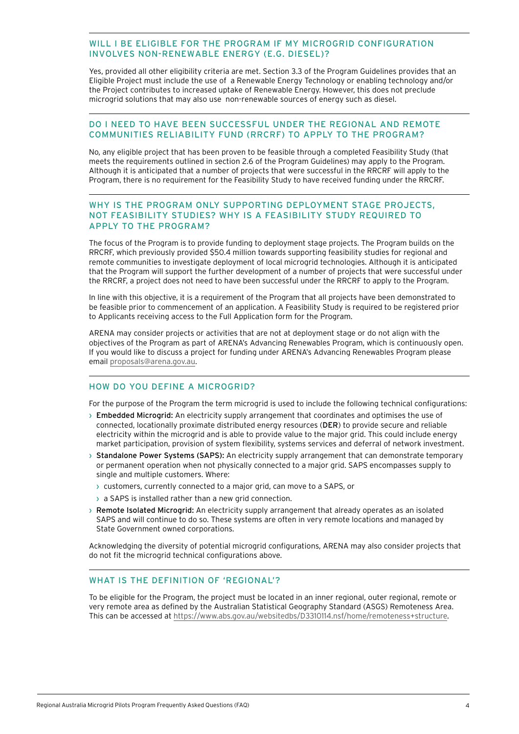#### <span id="page-3-0"></span>WILL I BE ELIGIBLE FOR THE PROGRAM IF MY MICROGRID CONFIGURATION INVOLVES NON-RENEWABLE ENERGY (E.G. DIESEL)?

Yes, provided all other eligibility criteria are met. Section 3.3 of the Program Guidelines provides that an Eligible Project must include the use of a Renewable Energy Technology or enabling technology and/or the Project contributes to increased uptake of Renewable Energy. However, this does not preclude microgrid solutions that may also use non-renewable sources of energy such as diesel.

#### DO I NEED TO HAVE BEEN SUCCESSFUL UNDER THE REGIONAL AND REMOTE COMMUNITIES RELIABILITY FUND (RRCRF) TO APPLY TO THE PROGRAM?

No, any eligible project that has been proven to be feasible through a completed Feasibility Study (that meets the requirements outlined in section 2.6 of the Program Guidelines) may apply to the Program. Although it is anticipated that a number of projects that were successful in the RRCRF will apply to the Program, there is no requirement for the Feasibility Study to have received funding under the RRCRF.

#### WHY IS THE PROGRAM ONLY SUPPORTING DEPLOYMENT STAGE PROJECTS, NOT FEASIBILITY STUDIES? WHY IS A FEASIBILITY STUDY REQUIRED TO APPLY TO THE PROGRAM?

The focus of the Program is to provide funding to deployment stage projects. The Program builds on the RRCRF, which previously provided \$50.4 million towards supporting feasibility studies for regional and remote communities to investigate deployment of local microgrid technologies. Although it is anticipated that the Program will support the further development of a number of projects that were successful under the RRCRF, a project does not need to have been successful under the RRCRF to apply to the Program.

In line with this objective, it is a requirement of the Program that all projects have been demonstrated to be feasible prior to commencement of an application. A Feasibility Study is required to be registered prior to Applicants receiving access to the Full Application form for the Program.

ARENA may consider projects or activities that are not at deployment stage or do not align with the objectives of the Program as part of ARENA's Advancing Renewables Program, which is continuously open. If you would like to discuss a project for funding under ARENA's Advancing Renewables Program please email [proposals@arena.gov.au](mailto:proposals%40arena.gov.au?subject=).

#### HOW DO YOU DEFINE A MICROGRID?

For the purpose of the Program the term microgrid is used to include the following technical configurations:

- › Embedded Microgrid: An electricity supply arrangement that coordinates and optimises the use of connected, locationally proximate distributed energy resources (DER) to provide secure and reliable electricity within the microgrid and is able to provide value to the major grid. This could include energy market participation, provision of system flexibility, systems services and deferral of network investment.
- › Standalone Power Systems (SAPS): An electricity supply arrangement that can demonstrate temporary or permanent operation when not physically connected to a major grid. SAPS encompasses supply to single and multiple customers. Where:
	- › customers, currently connected to a major grid, can move to a SAPS, or
	- $\rightarrow$  a SAPS is installed rather than a new grid connection.
- › Remote Isolated Microgrid: An electricity supply arrangement that already operates as an isolated SAPS and will continue to do so. These systems are often in very remote locations and managed by State Government owned corporations.

Acknowledging the diversity of potential microgrid configurations, ARENA may also consider projects that do not fit the microgrid technical configurations above.

#### WHAT IS THE DEFINITION OF 'REGIONAL'?

To be eligible for the Program, the project must be located in an inner regional, outer regional, remote or very remote area as defined by the Australian Statistical Geography Standard (ASGS) Remoteness Area. This can be accessed at<https://www.abs.gov.au/websitedbs/D3310114.nsf/home/remoteness+structure>.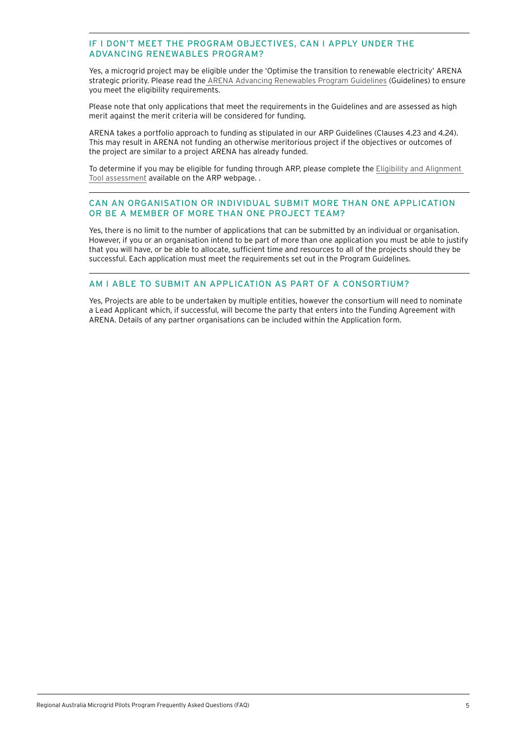#### <span id="page-4-0"></span>IF I DON'T MEET THE PROGRAM OBJECTIVES, CAN I APPLY UNDER THE ADVANCING RENEWABLES PROGRAM?

Yes, a microgrid project may be eligible under the 'Optimise the transition to renewable electricity' ARENA strategic priority. Please read th[e ARENA Advancing Renewables Program Guidelines](https://arena.gov.au/assets/2017/05/ARENA_ARP_Guidelines_FA_Single_Pages_LORES.pdf) (Guidelines) to ensure you meet the eligibility requirements.

Please note that only applications that meet the requirements in the Guidelines and are assessed as high merit against the merit criteria will be considered for funding.

ARENA takes a portfolio approach to funding as stipulated in our ARP Guidelines (Clauses 4.23 and 4.24). This may result in ARENA not funding an otherwise meritorious project if the objectives or outcomes of the project are similar to a project ARENA has already funded.

To determine if you may be eligible for funding through ARP, please complete the [Eligibility and Alignment](https://arena.gov.au/funding/advancing-renewables-program/#step-2-find-out-if-you-are-eligible)  [Tool assessment](https://arena.gov.au/funding/advancing-renewables-program/#step-2-find-out-if-you-are-eligible) available on the ARP webpage. .

#### CAN AN ORGANISATION OR INDIVIDUAL SUBMIT MORE THAN ONE APPLICATION OR BE A MEMBER OF MORE THAN ONE PROJECT TEAM?

Yes, there is no limit to the number of applications that can be submitted by an individual or organisation. However, if you or an organisation intend to be part of more than one application you must be able to justify that you will have, or be able to allocate, sufficient time and resources to all of the projects should they be successful. Each application must meet the requirements set out in the Program Guidelines.

#### AM I ABLE TO SUBMIT AN APPLICATION AS PART OF A CONSORTIUM?

Yes, Projects are able to be undertaken by multiple entities, however the consortium will need to nominate a Lead Applicant which, if successful, will become the party that enters into the Funding Agreement with ARENA. Details of any partner organisations can be included within the Application form.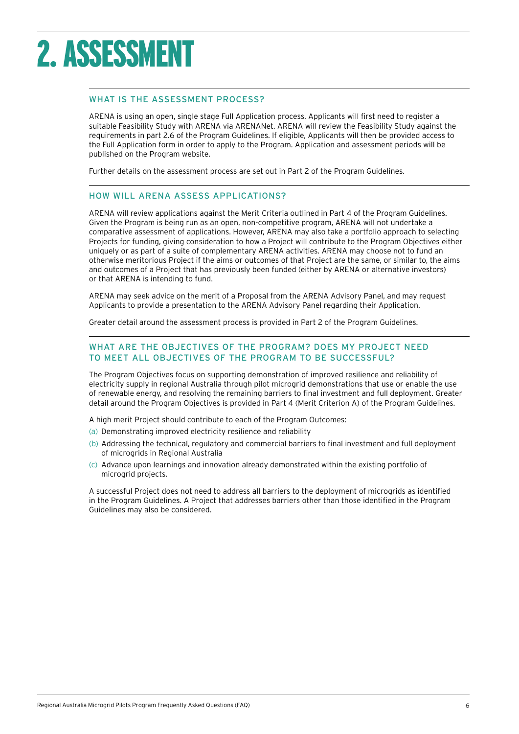### <span id="page-5-0"></span>2. ASSESSMENT

#### WHAT IS THE ASSESSMENT PROCESS?

ARENA is using an open, single stage Full Application process. Applicants will first need to register a suitable Feasibility Study with ARENA via ARENANet. ARENA will review the Feasibility Study against the requirements in part 2.6 of the Program Guidelines. If eligible, Applicants will then be provided access to the Full Application form in order to apply to the Program. Application and assessment periods will be published on the Program website.

Further details on the assessment process are set out in Part 2 of the Program Guidelines.

#### HOW WILL ARENA ASSESS APPLICATIONS?

ARENA will review applications against the Merit Criteria outlined in Part 4 of the Program Guidelines. Given the Program is being run as an open, non-competitive program, ARENA will not undertake a comparative assessment of applications. However, ARENA may also take a portfolio approach to selecting Projects for funding, giving consideration to how a Project will contribute to the Program Objectives either uniquely or as part of a suite of complementary ARENA activities. ARENA may choose not to fund an otherwise meritorious Project if the aims or outcomes of that Project are the same, or similar to, the aims and outcomes of a Project that has previously been funded (either by ARENA or alternative investors) or that ARENA is intending to fund.

ARENA may seek advice on the merit of a Proposal from the ARENA Advisory Panel, and may request Applicants to provide a presentation to the ARENA Advisory Panel regarding their Application.

Greater detail around the assessment process is provided in Part 2 of the Program Guidelines.

#### WHAT ARE THE OBJECTIVES OF THE PROGRAM? DOES MY PROJECT NEED TO MEET ALL OBJECTIVES OF THE PROGRAM TO BE SUCCESSFUL?

The Program Objectives focus on supporting demonstration of improved resilience and reliability of electricity supply in regional Australia through pilot microgrid demonstrations that use or enable the use of renewable energy, and resolving the remaining barriers to final investment and full deployment. Greater detail around the Program Objectives is provided in Part 4 (Merit Criterion A) of the Program Guidelines.

A high merit Project should contribute to each of the Program Outcomes:

- (a) Demonstrating improved electricity resilience and reliability
- (b) Addressing the technical, regulatory and commercial barriers to final investment and full deployment of microgrids in Regional Australia
- (c) Advance upon learnings and innovation already demonstrated within the existing portfolio of microgrid projects.

A successful Project does not need to address all barriers to the deployment of microgrids as identified in the Program Guidelines. A Project that addresses barriers other than those identified in the Program Guidelines may also be considered.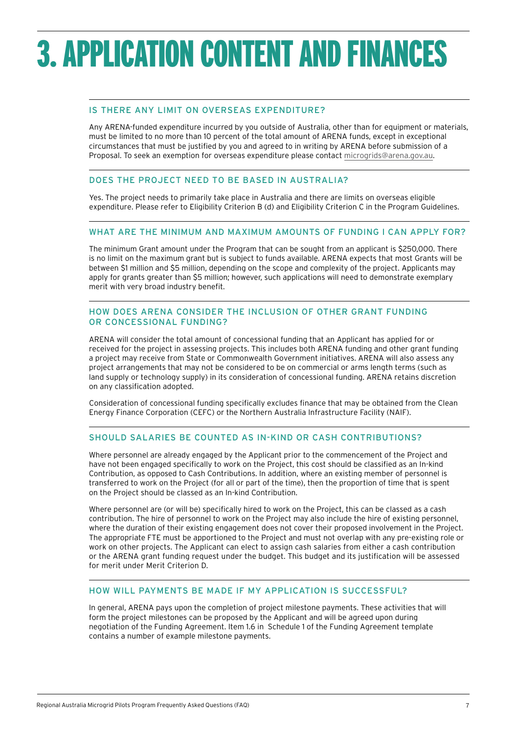## <span id="page-6-0"></span>3.APPLICATION CONTENT AND FINANCES

#### IS THERE ANY LIMIT ON OVERSEAS EXPENDITURE?

Any ARENA-funded expenditure incurred by you outside of Australia, other than for equipment or materials, must be limited to no more than 10 percent of the total amount of ARENA funds, except in exceptional circumstances that must be justified by you and agreed to in writing by ARENA before submission of a Proposal. To seek an exemption for overseas expenditure please contact [microgrids@arena.gov.au.](microgrids@arena.gov.au)

#### DOES THE PROJECT NEED TO BE BASED IN AUSTRALIA?

Yes. The project needs to primarily take place in Australia and there are limits on overseas eligible expenditure. Please refer to Eligibility Criterion B (d) and Eligibility Criterion C in the Program Guidelines.

#### WHAT ARE THE MINIMUM AND MAXIMUM AMOUNTS OF FUNDING I CAN APPLY FOR?

The minimum Grant amount under the Program that can be sought from an applicant is \$250,000. There is no limit on the maximum grant but is subject to funds available. ARENA expects that most Grants will be between \$1 million and \$5 million, depending on the scope and complexity of the project. Applicants may apply for grants greater than \$5 million; however, such applications will need to demonstrate exemplary merit with very broad industry benefit.

#### HOW DOES ARENA CONSIDER THE INCLUSION OF OTHER GRANT FUNDING OR CONCESSIONAL FUNDING?

ARENA will consider the total amount of concessional funding that an Applicant has applied for or received for the project in assessing projects. This includes both ARENA funding and other grant funding a project may receive from State or Commonwealth Government initiatives. ARENA will also assess any project arrangements that may not be considered to be on commercial or arms length terms (such as land supply or technology supply) in its consideration of concessional funding. ARENA retains discretion on any classification adopted.

Consideration of concessional funding specifically excludes finance that may be obtained from the Clean Energy Finance Corporation (CEFC) or the Northern Australia Infrastructure Facility (NAIF).

#### SHOULD SALARIES BE COUNTED AS IN-KIND OR CASH CONTRIBUTIONS?

Where personnel are already engaged by the Applicant prior to the commencement of the Project and have not been engaged specifically to work on the Project, this cost should be classified as an In-kind Contribution, as opposed to Cash Contributions. In addition, where an existing member of personnel is transferred to work on the Project (for all or part of the time), then the proportion of time that is spent on the Project should be classed as an In-kind Contribution.

Where personnel are (or will be) specifically hired to work on the Project, this can be classed as a cash contribution. The hire of personnel to work on the Project may also include the hire of existing personnel, where the duration of their existing engagement does not cover their proposed involvement in the Project. The appropriate FTE must be apportioned to the Project and must not overlap with any pre-existing role or work on other projects. The Applicant can elect to assign cash salaries from either a cash contribution or the ARENA grant funding request under the budget. This budget and its justification will be assessed for merit under Merit Criterion D.

#### HOW WILL PAYMENTS BE MADE IF MY APPLICATION IS SUCCESSFUL?

In general, ARENA pays upon the completion of project milestone payments. These activities that will form the project milestones can be proposed by the Applicant and will be agreed upon during negotiation of the Funding Agreement. Item 1.6 in Schedule 1 of the Funding Agreement template contains a number of example milestone payments.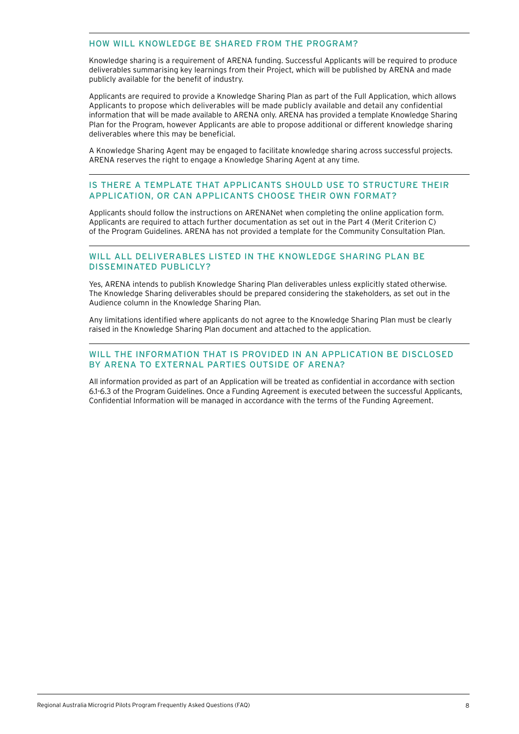#### <span id="page-7-0"></span>HOW WILL KNOWLEDGE BE SHARED FROM THE PROGRAM?

Knowledge sharing is a requirement of ARENA funding. Successful Applicants will be required to produce deliverables summarising key learnings from their Project, which will be published by ARENA and made publicly available for the benefit of industry.

Applicants are required to provide a Knowledge Sharing Plan as part of the Full Application, which allows Applicants to propose which deliverables will be made publicly available and detail any confidential information that will be made available to ARENA only. ARENA has provided a template Knowledge Sharing Plan for the Program, however Applicants are able to propose additional or different knowledge sharing deliverables where this may be beneficial.

A Knowledge Sharing Agent may be engaged to facilitate knowledge sharing across successful projects. ARENA reserves the right to engage a Knowledge Sharing Agent at any time.

#### IS THERE A TEMPLATE THAT APPLICANTS SHOULD USE TO STRUCTURE THEIR APPLICATION, OR CAN APPLICANTS CHOOSE THEIR OWN FORMAT?

Applicants should follow the instructions on ARENANet when completing the online application form. Applicants are required to attach further documentation as set out in the Part 4 (Merit Criterion C) of the Program Guidelines. ARENA has not provided a template for the Community Consultation Plan.

#### WILL ALL DELIVERABLES LISTED IN THE KNOWLEDGE SHARING PLAN BE DISSEMINATED PUBLICLY?

Yes, ARENA intends to publish Knowledge Sharing Plan deliverables unless explicitly stated otherwise. The Knowledge Sharing deliverables should be prepared considering the stakeholders, as set out in the Audience column in the Knowledge Sharing Plan.

Any limitations identified where applicants do not agree to the Knowledge Sharing Plan must be clearly raised in the Knowledge Sharing Plan document and attached to the application.

#### WILL THE INFORMATION THAT IS PROVIDED IN AN APPLICATION BE DISCLOSED BY ARENA TO EXTERNAL PARTIES OUTSIDE OF ARENA?

All information provided as part of an Application will be treated as confidential in accordance with section 6.1-6.3 of the Program Guidelines. Once a Funding Agreement is executed between the successful Applicants, Confidential Information will be managed in accordance with the terms of the Funding Agreement.